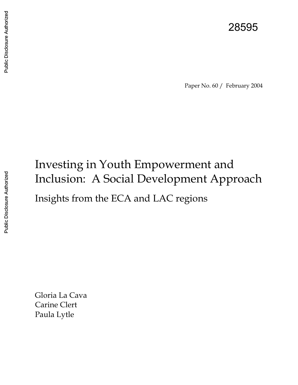### 28595

Paper No. 60 / February 2004

# Investing in Youth Empowerment and Inclusion: A Social Development Approach Insights from the ECA and LAC regions

Gloria La Cava Carine Clert Paula Lytle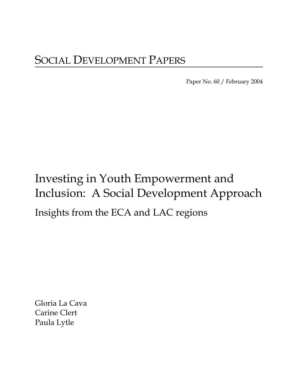Paper No. 60 / February 2004

# Investing in Youth Empowerment and Inclusion: A Social Development Approach Insights from the ECA and LAC regions

Gloria La Cava Carine Clert Paula Lytle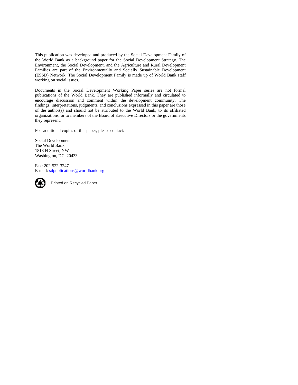This publication was developed and produced by the Social Development Family of the World Bank as a background paper for the Social Development Strategy. The Environment, the Social Development, and the Agriculture and Rural Development Families are part of the Environmentally and Socially Sustainable Development (ESSD) Network. The Social Development Family is made up of World Bank staff working on social issues.

Documents in the Social Development Working Paper series are not formal publications of the World Bank. They are published informally and circulated to encourage discussion and comment within the development community. The findings, interpretations, judgments, and conclusions expressed in this paper are those of the author(s) and should not be attributed to the World Bank, to its affiliated organizations, or to members of the Board of Executive Directors or the governments they represent.

For additional copies of this paper, please contact:

Social Development The World Bank 1818 H Street, NW Washington, DC 20433

Fax: 202-522-3247 E-mail: sdpublications@worldbank.org



Printed on Recycled Paper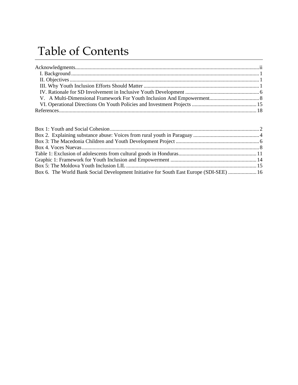## Table of Contents

| Box 6. The World Bank Social Development Initiative for South East Europe (SDI-SEE)  16 |  |
|-----------------------------------------------------------------------------------------|--|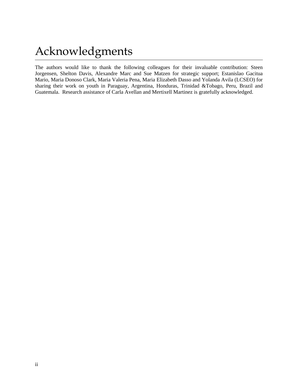### Acknowledgments

The authors would like to thank the following colleagues for their invaluable contribution: Steen Jorgensen, Shelton Davis, Alexandre Marc and Sue Matzen for strategic support; Estanislao Gacitua Mario, Maria Donoso Clark, Maria Valeria Pena, Maria Elizabeth Dasso and Yolanda Avila (LCSEO) for sharing their work on youth in Paraguay, Argentina, Honduras, Trinidad &Tobago, Peru, Brazil and Guatemala. Research assistance of Carla Avellan and Mertixell Martinez is gratefully acknowledged.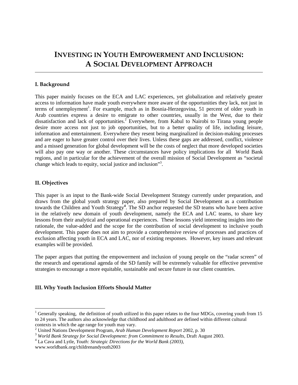### **INVESTING IN YOUTH EMPOWERMENT AND INCLUSION: A SOCIAL DEVELOPMENT APPROACH**

#### **I. Background**

This paper mainly focuses on the ECA and LAC experiences, yet globalization and relatively greater access to information have made youth everywhere more aware of the opportunities they lack, not just in terms of unemployment<sup>1</sup>. For example, much as in Bosnia-Herzegovina, 51 percent of older youth in Arab countries express a desire to emigrate to other countries, usually in the West, due to their dissatisfaction and lack of opportunities.<sup>2</sup> Everywhere, from Kabul to Nairobi to Tirana young people desire more access not just to job opportunities, but to a better quality of life, including leisure, information and entertainment. Everywhere they resent being marginalized in decision-making processes and are eager to have greater control over their lives. Unless these gaps are addressed, conflict, violence and a missed generation for global development will be the costs of neglect that more developed societies will also pay one way or another. These circumstances have policy implications for all World Bank regions, and in particular for the achievement of the overall mission of Social Development as "societal change which leads to equity, social justice and inclusion"<sup>3</sup>.

#### **II. Objectives**

l

This paper is an input to the Bank-wide Social Development Strategy currently under preparation, and draws from the global youth strategy paper, also prepared by Social Development as a contribution towards the Children and Youth Strategy**<sup>4</sup>** . The SD anchor requested the SD teams who have been active in the relatively new domain of youth development, namely the ECA and LAC teams, to share key lessons from their analytical and operational experiences. These lessons yield interesting insights into the rationale, the value-added and the scope for the contribution of social development to inclusive youth development. This paper does not aim to provide a comprehensive review of processes and practices of exclusion affecting youth in ECA and LAC, nor of existing responses. However, key issues and relevant examples will be provided.

The paper argues that putting the empowerment and inclusion of young people on the "radar screen" of the research and operational agenda of the SD family will be extremely valuable for effective preventive strategies to encourage a more equitable, sustainable and secure future in our client countries.

#### **III. Why Youth Inclusion Efforts Should Matter**

<sup>&</sup>lt;sup>1</sup> Generally speaking, the definition of youth utilized in this paper relates to the four MDGs, covering youth from 15 to 24 years. The authors also acknowledge that childhood and adulthood are defined within different cultural contexts in which the age range for youth may vary.

<sup>2</sup> United Nations Development Program, *Arab Human Development Report* 2002, p. 30

<sup>&</sup>lt;sup>3</sup> World Bank Strategy for Social Development: from Commitment to Results, Draft August 2003.

<sup>4</sup> La Cava and Lytle, *Youth: Strategic Directions for the World Bank (2003)*,

www.worldbank.org/childrenandyouth2003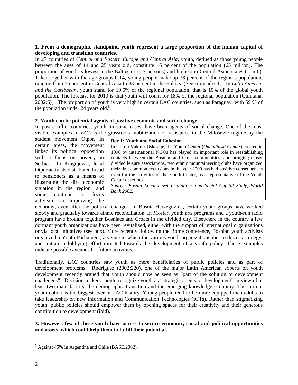#### **1. From a demographic standpoint, youth represent a large proportion of the human capital of developing and transition countries.**

In 27 countries of *Central and Eastern Europe and Central Asia*, youth, defined as those young people between the ages of 14 and 25 years old, constitute 16 percent of the population (65 million). The proportion of youth is lowest in the Baltics (1 in 7 persons) and highest in Central Asian states (1 in 6). Taken together with the age groups 0-14, young people make up 38 percent of the region's population, ranging from 55 percent in Central Asia to 33 percent in the Baltics. (See Appendix 1). In *Latin America and the Caribbean*, youth stand for 19.5% of the regional population, that is 10% of the global youth population. The forecast for 2010 is that youth will count for 18% of the regional population (Quintana, 2002:6)). The proportion of youth is very high in certain LAC countries, such as Paraguay, with 59 % of the population under 24 years old. $<sup>5</sup>$ </sup>

#### **2. Youth can be potential agents of positive economic and social change.**

In post-conflict countries, youth, in some cases, have been agents of social change. One of the most visible examples in *ECA* is the grassroots mobilization of resistance to the Miloševic regime by the

student movement Otpor. In certain areas, the movement linked its political opposition with a focus on poverty in Serbia. In Kragujevac, local Otpor activists distributed bread to pensioners as a means of illustrating the dire economic situation in the region, and some continue to focus activism on improving the

| <b>Box 1: Youth and Social Cohesion</b>                                       |  |  |
|-------------------------------------------------------------------------------|--|--|
| In Gornji Vakuf / Uskoplje, the Youth Center (Omladinski Centar) created in   |  |  |
| 1996 by international NGOs has played an important role in reestablishing     |  |  |
| contacts between the Bosniac and Croat communities, and bringing closer       |  |  |
| divided leisure associations. two ethnic mountaineering clubs have organized  |  |  |
| their first common excursions in the year 2000 has had positive consequences  |  |  |
| even for the activities of the Youth Center, as a representative of the Youth |  |  |
| Center describes.                                                             |  |  |
| Source: Rognia Local Lavel Institutions and Social Capital Study World        |  |  |

*Source: Bosnia Local Level Institutions and Social Capital Study, World Bank 2002.*

economy, even after the political change. In Bosnia-Herzegovina, certain youth groups have worked slowly and gradually towards ethnic reconciliation. In Mostar, youth arts programs and a youth-run radio program have brought together Bosniacs and Croats in the divided city. Elsewhere in the country a few dormant youth organizations have been revitalized, either with the support of international organizations or via local initiatives (see box). More recently, following the Rome conference, Bosnian youth activists organized a Youth Parliament, a venue in which the various youth organizations met to discuss strategy, and initiate a lobbying effort directed towards the development of a youth policy. These examples indicate possible avenues for future activities.

Traditionally, *LAC* countries saw youth as mere beneficiaries of public policies and as part of development problems. Rodriguez (2002:220), one of the major Latin American experts on youth development recently argued that youth should now be seen as "part of the solution to development challenges". Decision-makers should recognize youth as "strategic agents of development" in view of at least two main factors, the demographic transition and the emerging knowledge economy. The current youth cohort is the biggest ever in LAC history. Young people tend to be more equipped than adults to take leadership on new Information and Communication Technologies (ICTs). Rather than stigmatizing youth, public policies should empower them by opening spaces for their creativity and their generous contribution to development (ibid).

**3. However, few of these youth have access to secure economic, social and political opportunities and assets, which could help them to fulfill their potential.** 

<sup>&</sup>lt;sup>5</sup> Against 45% in Argentina and Chile (BASE, 2002).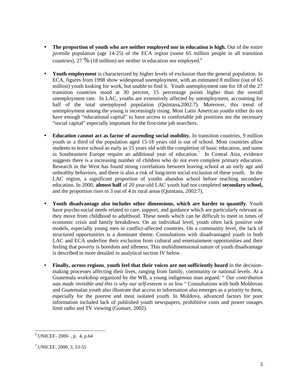- **The proportion of youth who are neither employed nor in education is high.** Out of the entire juvenile population (age 14-25) of the ECA region (some 65 million people in all transition countries), 27 % (18 million) are neither in education nor employed.<sup>6</sup>
- **Youth employment** is characterized by higher levels of exclusion than the general population. In ECA, figures from 1998 show widespread unemployment, with an estimated 8 million (out of 65 million) youth looking for work, but unable to find it. Youth unemployment rate for 18 of the 27 transition countries stood at 30 percent, 15 percentage points higher than the overall unemployment rate. In LAC, youths are extensively affected by unemployment, accounting for half of the total unemployed population (Quintana,2002:7). Moreover, this trend of unemployment among the young is increasingly rising. Most Latin American youths either do not have enough "educational capital" to have access to comfortable job positions nor the necessary "social capital" especially important for the first-time job searchers.
- **Education cannot act as factor of ascending social mobility.** In transition countries, 9 million youth or a third of the population aged 15-18 years old is out of school. Most countries allow students to leave school as early as 15 years old with the completion of basic education, and some in Southeastern Europe require an additional year of education.<sup>7</sup> In Central Asia, evidence suggests there is a increasing number of children who do not even complete primary education. Research in the West has found strong correlations between leaving school at an early age and unhealthy behaviors, and there is also a risk of long-term social exclusion of these youth. In the LAC region, a significant proportion of youths abandon school before reaching secondary education. In 2000, **almost half** of 20 year-old LAC youth had not completed **secondary school,**  and the proportion rises to 3 out of 4 in rural areas (Quintana, 2002:7).
- **Youth disadvantage also includes other dimensions, which are harder to quantify**. Youth have psycho-social needs related to care, support, and guidance which are particularly relevant as they move from childhood to adulthood. These needs which can be difficult to meet in times of economic crisis and family breakdown. On an individual level, youth often lack positive role models, especially young men in conflict-affected countries. On a community level, the lack of structured opportunities is a dominant theme. Consultations with disadvantaged youth in both LAC and ECA underline their exclusion from cultural and entertainment opportunities and their feeling that poverty is boredom and idleness. This multidimensional nature of youth disadvantage is described in more detailed in analytical section IV below.
- **Finally, across regions**, **youth feel that their voices are not sufficiently heard** in the decisionmaking processes affecting their lives, ranging from family, community or national levels. At a Guatemala workshop organized by the WB, a young indigenous man argued: " *Our contribution was made invisible and this is why our self-esteem is so low."* Consultations with both Moldovan and Guatemalan youth also illustrate that access to information also emerges as a priority to them, especially for the poorest and most isolated youth. In Moldova, advanced factors for poor information included lack of published youth newspapers, prohibitive costs and power outages limit radio and TV viewing (Gomart, 2002).

<sup>6</sup> UNICEF- 2000- , p. 4, p.64

<sup>7</sup> UNICEF, 2000, 3, 53-55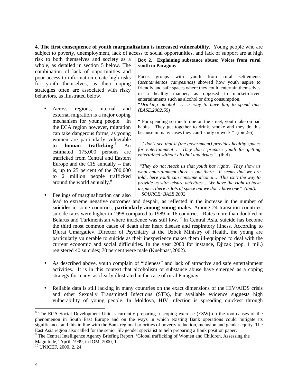**4. The first consequence of youth marginalization is increased vulnerability.** Young people who are subject to poverty, unemployment, lack of access to social opportunities, and lack of support are at high

risk to both themselves and society as a whole, as detailed in section 5 below. The combination of lack of opportunities and poor access to information create high risks for youth themselves, as their coping strategies often are associated with risky behaviors, as illustrated below.

• Across regions, internal and external migration is a major coping mechanism for young people. In the ECA region however, migration can take dangerous forms, as young women are particularly vulnerable to **human trafficking**. 8 An estimated 175,000 persons are trafficked from Central and Eastern Europe and the CIS annually -- that is, up to 25 percent of the 700,000 to 2 million people trafficked around the world annually.<sup>9</sup>

**Box 2. Explaining substance abuse: Voices from rural youth in Paraguay**

Focus groups with youth from rural settlements (*asentamientos campesinos)* showed how youth aspire to friendly and safe spaces where they could entertain themselves in a healthy manner, as opposed to market-driven entertainments such as alcohol or drug consumption.

**"***Drinking alcohol … is way to have fun, to spend time (BASE,2002:55)*

**"** For spending so much time on the street, youth take on bad habits. They get together to drink, smoke and they do this because in many cases they can't study or work " (ibid:56)

*" I don't see that it (the government) provides healthy spaces for entertainment . They don't prepare youth for getting entertained without alcohol and drugs."* (ibid)

 *"They do not /teach us that youth has rights. They show us what entertainment there is out there. It seems that we are told.. here youth can consume alcohol... This isn't the way to provide us with leisure activities.... We have the right to have a space, there is lots of space but we don't have one" (ibid). SOURCE: BASE 2002*

• Feelings of marginalization can also lead to extreme negative outcomes and despair, as reflected in the increase in the number of **suicides** in some countries, **particularly among young males**. Among 24 transition countries, suicide rates were higher in 1998 compared to 1989 in 16 countries. Rates more than doubled in Belarus and Turkmenistan where incidence was still low.<sup>10</sup> In Central Asia, suicide has become the third most common cause of death after heart disease and respiratory illness. According to Djurat Umargaliev, Director of Psychiatry at the Uzbek Ministry of Health, the young are particularly vulnerable to suicide as their inexperience makes them ill-equipped to deal with the current economic and social difficulties. In the year 2000 for instance, Djizak (pop. 1 mil.) registered 40 suicides; 70 percent were male (Kuehnast,2002).

- As described above, youth complain of "idleness" and lack of attractive and safe entertainment activities. It is in this context that alcoholism or substance abuse have emerged as a coping strategy for many, as clearly illustrated in the case of rural Paraguay.
- Reliable data is still lacking in many countries on the exact dimensions of the HIV/AIDS crisis and other Sexually Transmitted Infections (STIs), but available evidence suggests high vulnerability of young people. In Moldova, HIV infection is spreading quickest through

<sup>&</sup>lt;sup>8</sup> The ECA Social Development Unit is currently preparing a scoping exercise (ESW) on the root-causes of the phenomenon in South East Europe and on the ways in which existing Bank operations could mitigate its significance, and this in line with the Bank regional priorities of poverty reduction, inclusion and gender equity. The East Asia region also called for the senior SD gender specialist to help preparing a Bank position paper.

<sup>&</sup>lt;sup>9</sup> The Central Intelligence Agency Briefing Report, 'Global trafficking of Women and Children, Assessing the Magnitude,' April, 1999, in IOM, 2000, 1

<sup>10</sup> UNICEF, 2000, 2, 24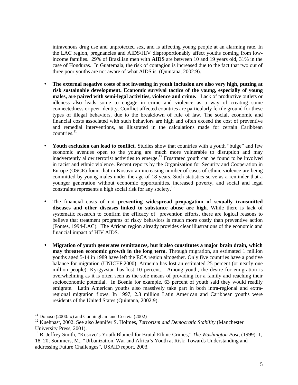intravenous drug use and unprotected sex, and is affecting young people at an alarming rate. In the LAC region, pregnancies and AIDS/HIV disproportionably affect youths coming from lowincome families. 29% of Brazilian men with **AIDS** are between 10 and 19 years old, 31% in the case of Honduras. In Guatemala, the risk of contagion is increased due to the fact that two out of three poor youths are not aware of what AIDS is. (Quintana, 2002:9).

- **The external negative costs of not investing in youth inclusion are also very high, putting at risk sustainable development. Economic survival tactics of the young, especially of young males, are paired with semi-legal activities, violence and crime.** Lack of productive outlets or idleness also leads some to engage in crime and violence as a way of creating some connectedness or peer identity. Conflict-affected countries are particularly fertile ground for these types of illegal behaviors, due to the breakdown of rule of law. The social, economic and financial costs associated with such behaviors are high and often exceed the cost of preventive and remedial interventions, as illustrated in the calculations made for certain Caribbean  $countries.<sup>11</sup>$
- **Youth exclusion can lead to conflict.** Studies show that countries with a youth "bulge" and few economic avenues open to the young are much more vulnerable to disruption and may inadvertently allow terrorist activities to emerge.<sup>12</sup> Frustrated youth can be found to be involved in racist and ethnic violence. Recent reports by the Organization for Security and Cooperation in Europe (OSCE) fount that in Kosovo an increasing number of cases of ethnic violence are being committed by young males under the age of 18 years. Such statistics serve as a reminder that a younger generation without economic opportunities, increased poverty, and social and legal constraints represents a high social risk for any society.<sup>13</sup>
- The financial costs of not **preventing widespread propagation of sexually transmitted diseases and other diseases linked to substance abuse are high**. While there is lack of systematic research to confirm the efficacy of prevention efforts, there are logical reasons to believe that treatment programs of risky behaviors is much more costly than preventive action (Fontes, 1994-LAC). The African region already provides clear illustrations of the economic and financial impact of HIV AIDS.
- **Migration of youth generates remittances, but it also constitutes a major brain drain, which may threaten economic growth in the long term.** Through migration, an estimated 1 million youths aged 5-14 in 1989 have left the ECA region altogether. Only five countries have a positive balance for migration (UNICEF,2000). Armenia has lost an estimated 25 percent (or nearly one million people), Kyrgyzstan has lost 10 percent.. Among youth, the desire for emigration is overwhelming as it is often seen as the sole means of providing for a family and reaching their socioeconomic potential. In Bosnia for example, 63 percent of youth said they would readily emigrate. Latin American youths also massively take part in both intra-regional and extraregional migration flows. In 1997, 2.3 million Latin American and Caribbean youths were residents of the United States (Quintana, 2002:9).

 $\overline{\phantom{a}}$  $11$  Donoso (2000:ix) and Cunningham and Correia (2002)

<sup>&</sup>lt;sup>12</sup> Kuehnast, 2002. See also Jennifer S. Holmes, *Terrorism and Democratic Stability* (Manchester University Press, 2001).

<sup>13</sup> R. Jeffrey Smith, "Kosovo's Youth Blamed for Brutal Ethnic Crimes," *The Washington Post,* (1999): 1, 18, 20; Sommers, M., "Urbanization, War and Africa's Youth at Risk: Towards Understanding and addressing Future Challenges", USAID report, 2003.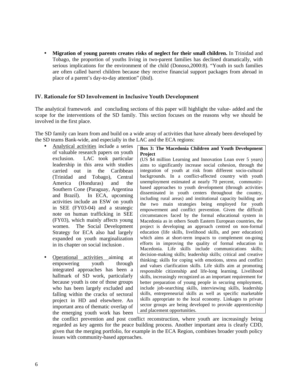• **Migration of young parents creates risks of neglect for their small children.** In Trinidad and Tobago, the proportion of youths living in two-parent families has declined dramatically, with serious implications for the environment of the child (Donoso,2000:8). "Youth in such families are often called barrel children because they receive financial support packages from abroad in place of a parent's day-to-day attention" (ibid).

#### **IV. Rationale for SD Involvement in Inclusive Youth Development**

The analytical framework and concluding sections of this paper will highlight the value- added and the scope for the interventions of the SD family. This section focuses on the reasons why we should be involved in the first place.

The SD family can learn from and build on a wide array of activities that have already been developed by the SD teams Bank-wide, and especially in the LAC and the ECA regions:

- Analytical activities include a series of valuable research papers on youth exclusion. LAC took particular leadership in this area with studies carried out in the Caribbean (Trinidad and Tobago), Central America (Honduras) and the Southern Cone (Paraguay, Argentina and Brazil). In ECA, upcoming activities include an ESW on youth in SEE (FY03-04) and a strategic note on human trafficking in SEE (FY03), which mainly affects young women. The Social Development Strategy for ECA also had largely expanded on youth marginalization in its chapter on social inclusion .
- Operational activities aiming at empowering youth through integrated approaches has been a hallmark of SD work, particularly because youth is one of those groups who has been largely excluded and falling within the cracks of sectoral project in HD and elsewhere. An important area of thematic overlap of the emerging youth work has been

#### **Box 3: The Macedonia Children and Youth Development Project** (US \$4 million Learning and Innovation Loan over 5 years)

aims to significantly increase social cohesion, through the integration of youth at risk from different socio-cultural backgrounds. In a conflict-affected country with youth unemployment estimated at nearly 70 percent, communitybased approaches to youth development (through activities disseminated in youth centers throughout the country, including rural areas) and institutional capacity building are the two main strategies being employed for youth empowerment and conflict prevention. Given the difficult circumstances faced by the formal educational system in Macedonia as in others South Eastern European countries, the project is developing an approach centred on non-formal education (life skills, livelihood skills, and peer education) which aims at short-term impacts to complement on-going efforts in improving the quality of formal education in Macedonia. Life skills include communications skills; decision-making skills; leadership skills; critical and creative thinking; skills for coping with emotions, stress and conflict and values clarification skills. Life skills aim at promoting responsible citizenship and life-long learning. Livelihood skills, increasingly recognized as an important requirement for better preparation of young people in securing employment, include job-searching skills, interviewing skills, leadership skills, entrepreneurial skills as well as specific marketable skills appropriate to the local economy. Linkages to private sector groups are being developed to provide apprenticeship and placement opportunities.

the conflict prevention and post conflict reconstruction, where youth are increasingly being regarded as key agents for the peace building process. Another important area is clearly CDD, given that the merging portfolio, for example in the ECA Region, combines broader youth policy issues with community-based approaches.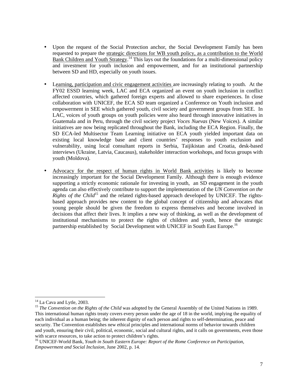- Upon the request of the Social Protection anchor, the Social Development Family has been requested to prepare the strategic directions for WB youth policy, as a contribution to the World Bank Children and Youth Strategy.<sup>14</sup> This lays out the foundations for a multi-dimensional policy and investment for youth inclusion and empowerment, and for an institutional partnership between SD and HD, especially on youth issues.
- Learning, participation and civic engagement activities are increasingly relating to youth. At the FY02 ESSD learning week, LAC and ECA organized an event on youth inclusion in conflict affected countries, which gathered foreign experts and allowed to share experiences. In close collaboration with UNICEF, the ECA SD team organized a Conference on Youth inclusion and empowerment in SEE which gathered youth, civil society and government groups from SEE. In LAC, voices of youth groups on youth policies were also heard through innovative initiatives in Guatemala and in Peru, through the civil society project *Voces Nuevas* (New Voices). A similar initiatives are now being replicated throughout the Bank, including the ECA Region. Finally, the SD ECA-led Multisector Team Learning initiative on ECA youth yielded important data on existing local knowledge base and client countries' responses to youth exclusion and vulnerability, using local consultant reports in Serbia, Taijikistan and Croatia, desk-based interviews (Ukraine, Latvia, Caucasus), stakeholder interaction workshops, and focus groups with youth (Moldova).
- Advocacy for the respect of human rights in World Bank activities is likely to become increasingly important for the Social Development Family. Although there is enough evidence supporting a strictly economic rationale for investing in youth, an SD engagement in the youth agenda can also effectively contribute to support the implementation of the *UN Convention on the Rights of the Child*<sup>15</sup> and the related rights-based approach developed by UNICEF. The rightsbased approach provides new content to the global concept of citizenship and advocates that young people should be given the freedom to express themselves and become involved in decisions that affect their lives. It implies a new way of thinking, as well as the development of institutional mechanisms to protect the rights of children and youth, hence the strategic partnership established by Social Development with UNICEF in South East Europe.<sup>16</sup>

<sup>&</sup>lt;sup>14</sup> La Cava and Lytle, 2003.

<sup>&</sup>lt;sup>15</sup> *The Convention on the Rights of the Child* was adopted by the General Assembly of the United Nations in 1989. This international human rights treaty covers every person under the age of 18 in the world, implying the equality of each individual as a human being; the inherent dignity of each person and rights to self-determination, peace and security. The Convention establishes new ethical principles and international norms of behavior towards children and youth, ensuring their civil, political, economic, social and cultural rights, and it calls on governments, even those with scarce resources, to take action to protect children's rights.

<sup>&</sup>lt;sup>16</sup> UNICEF-World Bank, *Youth in South Eastern Europe: Report of the Rome Conference on Participation*, *Empowerment and Social Inclusion*, June 2002, p. 14.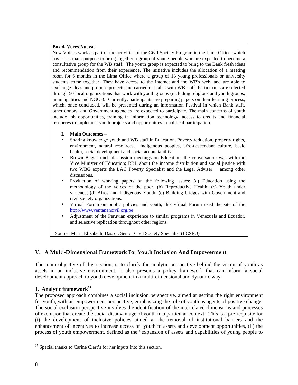#### **Box 4. Voces Nuevas**

New Voices work as part of the activities of the Civil Society Program in the Lima Office, which has as its main purpose to bring together a group of young people who are expected to become a consultative group for the WB staff. The youth group is expected to bring to the Bank fresh ideas and recommendation from their experience. The initiative includes the allocation of a meeting room for 6 months in the Lima Office where a group of 13 young professionals or university students come together. They have access to the internet and the WB's web, and are able to exchange ideas and propose projects and carried out talks with WB staff. Participants are selected through 50 local organizations that work with youth groups (including religious and youth groups, municipalities and NGOs). Currently, participants are preparing papers on their learning process, which, once concluded, will be presented during an information Festival in which Bank staff, other donors, and Government agencies are expected to participate. The main concerns of youth include job opportunities, training in information technology, access to credits and financial resources to implement youth projects and opportunities in political participation

#### **I. Main Outcomes –**

- Sharing knowledge youth and WB staff in Education, Poverty reduction, property rights, environment, natural resources, indigenous peoples, afro-descendant culture, basic health, social development and social accountability.
- Brown Bags Lunch discussion meetings on Education, the conversation was with the Vice Minister of Education; BBL about the income distribution and social justice with two WBG experts the LAC Poverty Specialist and the Legal Adviser; among other discussions.
- Production of working papers on the following issues: (a) Education using the methodology of the voices of the poor, (b) Reproductive Health; (c) Youth under violence; (d) Afros and Indigenous Youth; (e) Building bridges with Government and civil society organizations.
- Virtual Forum on public policies and youth, this virtual Forum used the site of the http://www.ventanancivil.org.pe
- Adjustment of the Peruvian experience to similar programs in Venezuela and Ecuador, and selective replication throughout other regions.

Source: Maria Elizabeth Dasso , Senior Civil Society Specialist (LCSEO)

#### **V. A Multi-Dimensional Framework For Youth Inclusion And Empowerment**

The main objective of this section, is to clarify the analytic perspective behind the vision of youth as assets in an inclusive environment. It also presents a policy framework that can inform a social development approach to youth development in a multi-dimensional and dynamic way.

#### **1. Analytic framework<sup>17</sup>**

The proposed approach combines a social inclusion perspective, aimed at getting the right environment for youth, with an empowerment perspective, emphasizing the role of youth as agents of positive change. The social exclusion perspective involves the identification of the interrelated dimensions and processes of exclusion that create the social disadvantage of youth in a particular context. This is a pre-requisite for (i) the development of inclusive policies aimed at the removal of institutional barriers and the enhancement of incentives to increase access of youth to assets and development opportunities, (ii) the process of youth empowerment, defined as the "expansion of assets and capabilities of young people to

<sup>&</sup>lt;sup>17</sup> Special thanks to Carine Clert's for her inputs into this section.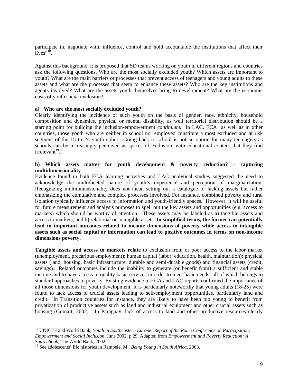participate in, negotiate with, influence, control and hold accountable the institutions that affect their  $\frac{1}{2}$  ives<sup>",18</sup>.

Against this background, it is proposed that SD teams working on youth in different regions and countries ask the following questions. Who are the most socially excluded youth? Which assets are important to youth? What are the main barriers or processes that prevent access of teenagers and young adults to these assets and what are the processes that seem to enhance these assets? Who are the key institutions and agents involved? What are the assets youth themselves bring to development? What are the economic costs of youth social exclusion?

#### **a) Who are the most socially excluded youth?**

Clearly identifying the incidence of such youth on the basis of gender, race, ethnicity, household composition and dynamics, physical or mental disability, as well territorial distribution should be a starting point for building the inclusion-empowerment *continuum*. In LAC, ECA as well as in other countries, those youth who are neither in school nor employed constitute a most excluded and at risk segment of the 15 to 24 youth cohort. Going back to school is not an option for many teen-agers as schools can be increasingly perceived as spaces of exclusion, with educational content that they find irrelevant<sup>19</sup>.

#### **b) Which assets matter for youth development & poverty reduction? - capturing multidimensionality**

Evidence found in both ECA learning activities and LAC analytical studies suggested the need to acknowledge the multifaceted nature of youth's experience and perception of marginalization. Recognizing multidimensionality does not mean setting out a catalogue of lacking assets but rather emphasizing the cumulative and complex processes involved. For instance, combined poverty and rural isolation typically influence access to information and youth-friendly spaces. However, it will be useful for future measurement and analysis purposes to spell out the key assets and opportunities (e.g. access to markets) which should be worthy of attention. These assets may be labeled as a) tangible assets and access to markets; and b) relational or intangible assets. **In simplified terms, the former can potentially lead to important outcomes related to income dimensions of poverty while access to intangible assets such as social capital or information can lead to positive outcomes in terms on non-income dimensions poverty**.

**Tangible assets and access to markets relate** to exclusion from or poor access to the labor market (unemployment, precarious employment); human capital (labor, education, health, malnutrition); physical assets (land, housing, basic infrastructure, durable and semi-durable goods) and financial assets (credit, savings). Related outcomes include the inability to generate (or benefit from) a sufficient and stable income and to have access to quality basic services in order to meet basic needs- all of which belongs to standard approaches to poverty. Existing evidence in ECA and LAC reports confirmed the importance of all those dimensions for youth development. It is particularly noteworthy that young adults (18-25) were found to lack access to crucial assets leading to self-employment opportunities, particularly land and credit. In Transition countries for instance, they are likely to have been too young to benefit from privatization of productive assets such as land and industrial equipment and other crucial assets such as housing (Gomart, 2002). In Paraguay, lack of access to land and other productive resources clearly

<sup>18</sup> UNICEF and World Bank, *Youth in Southeastern Europe: Report of the Rome Conference on Participation, Empowerment and Social Inclusion*, June 2002, p 29. Adapted from *Empowerment and Poverty Reduction: A Sourcebook*, The World Bank, 2002.

<sup>19</sup> See adolescents' life histories in Rampele, M., *Being Young in South Africa*, 2003.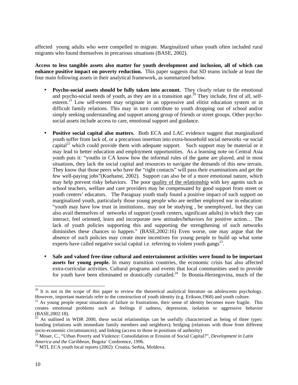affected young adults who were compelled to migrate. Marginalized urban youth often included rural migrants who found themselves in precarious situations (BASE, 2002).

**Access to less tangible assets also matter for youth development and inclusion, all of which can enhance positive impact on poverty reduction.** This paper suggests that SD teams include at least the four main following assets in their analytical framework, as summarized below.

- **Psycho-social assets should be fully taken into account.** They clearly relate to the emotional and psycho-social needs of youth, as they are in a transition age.<sup>20</sup> They include, first of all, selfesteem.<sup>21</sup> Low self-esteem may originate in an oppressive and elitist education system or in difficult family relations. This may in turn contribute to youth dropping out of school and/or simply seeking understanding and support among group of friends or street groups. Other psychosocial assets include access to care, emotional support and guidance.
- **Positive social capital also matters.** Both ECA and LAC evidence suggest that marginalized youth suffer from lack of, or a precarious insertion into extra-household social networks -or social capital<sup>22</sup> which could provide them with adequate support. Such support may be material or it may lead to better education and employment opportunities. As a learning note on Central Asia youth puts it: "youths in CA know how the informal rules of the game are played, and in most situations, they lack the social capital and resources to navigate the demands of this new terrain. They know that those peers who have the "right contacts" will pass their examinations and get the few well-paying jobs"(Kuehanst, 2002). Support can also be of a more emotional nature, which may help prevent risky behaviors. The poor quality of the relationship with key agents such as school teachers, welfare and care providers may be compensated by good support from street or youth centers' educators. The Paraguay youth study found a positive impact of such support on marginalized youth, particularly those young people who are neither employed nor in education: "youth may have low trust in institutions.. may not be studying , be unemployed.. but they can also avail themselves of networks of support (youth centers, significant adults) in which they can interact, feel oriented, learn and incorporate new attitudes/behaviors for positive action… The lack of youth policies supporting this and supporting the strengthening of such networks diminishes these chances to happen." (BASE,2002:16) Even worse, one may argue that the absence of such policies may create more incentives for young people to build up what some experts have called negative social capital i.e. referring to violent youth gangs $^{23}$ .
- **Safe and valued free-time cultural and entertainment activities were found to be important assets for young people.** In many transition countries, the economic crisis has also affected extra-curricular activities. Cultural programs and events that local communities used to provide for youth have been eliminated or drastically curtailed.<sup>24</sup> In Bosnia-Herzegovina, much of the

-

 $20$  It is not in the scope of this paper to review the theoretical analytical literature on adolescents psychology. However, important materials refer to the construction of youth identity (e.g. Erikson,1968) and youth culture.

 $21$  As young people repeat situations of failure or frustrations, their sense of identity becomes more fragile. This creates emotional problems such as feelings if sadness, depression, isolation or aggressive behavior (BASE,2002:18).

 $^{22}$  As outlined in WDR 2000, these social relationships can be usefully characterized as being of three types: bonding (relations with immediate family members and neighbors); bridging (relations with those from different socio-economic circumstances); and linking (access to those in positions of authority)

<sup>23</sup> Moser, C., "Urban Poverty and Violence: Consolidation or Erosion of Social Capital?", *Development in Latin America and the Caribbean*, Bogota' Conference, 1996.

<sup>&</sup>lt;sup>24</sup> MTL ECA youth local reports (2002): Croatia, Serbia, Moldova.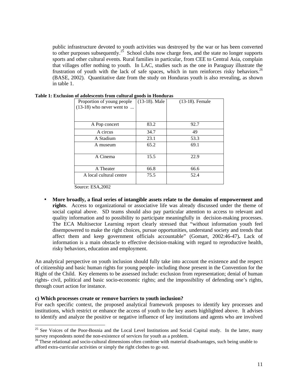public infrastructure devoted to youth activities was destroyed by the war or has been converted to other purposes subsequently.<sup>25</sup> School clubs now charge fees, and the state no longer supports sports and other cultural events. Rural families in particular, from CEE to Central Asia, complain that villages offer nothing to youth. In LAC, studies such as the one in Paraguay illustrate the frustration of youth with the lack of safe spaces, which in turn reinforces risky behaviors.<sup>26</sup> (BASE, 2002). Quantitative date from the study on Honduras youth is also revealing, as shown in table 1.

| of adolescents if om cultural goods in frondulas |                  |                 |  |
|--------------------------------------------------|------------------|-----------------|--|
| Proportion of young people                       | $(13-18)$ . Male | (13-18). Female |  |
| $(13-18)$ who never went to                      |                  |                 |  |
|                                                  |                  |                 |  |
|                                                  |                  |                 |  |
| A Pop concert                                    | 83.2             | 92.7            |  |
| A circus                                         | 34.7             | 49              |  |
| A Stadium                                        | 23.1             | 53.3            |  |
| A museum                                         | 65.2             | 69.1            |  |
|                                                  |                  |                 |  |
| A Cinema                                         | 15.5             | 22.9            |  |
|                                                  |                  |                 |  |
| A Theater                                        | 66.8             | 66.6            |  |
| A local cultural centre                          | 75.5             | 52.4            |  |
|                                                  |                  |                 |  |

Source: ESA,2002

• **More broadly, a final series of intangible assets relate to the domains of empowerment and rights**. Access to organizational or associative life was already discussed under the theme of social capital above. SD teams should also pay particular attention to access to relevant and quality information and to possibility to participate meaningfully in decision-making processes. The ECA Multisector Learning report clearly stressed that "without information youth feel disempowered to make the right choices, pursue opportunities, understand society and trends that affect them and keep government officials accountable" (Gomart, 2002:46-47)**.** Lack of information is a main obstacle to effective decision-making with regard to reproductive health, risky behaviors, education and employment.

An analytical perspective on youth inclusion should fully take into account the existence and the respect of citizenship and basic human rights for young people- including those present in the Convention for the Right of the Child. Key elements to be assessed include: exclusion from representation; denial of human rights- civil, political and basic socio-economic rights; and the impossibility of defending one's rights, through court action for instance.

#### **c) Which processes create or remove barriers to youth inclusion?**

l

For each specific context, the proposed analytical framework proposes to identify key processes and institutions, which restrict or enhance the access of youth to the key assets highlighted above. It advises to identify and analyze the positive or negative influence of key institutions and agents who are involved

<sup>&</sup>lt;sup>25</sup> See Voices of the Poor-Bosnia and the Local Level Institutions and Social Capital study. In the latter, many survey respondents noted the non-existence of services for youth as a problem.

 $^{26}$  These relational and socio-cultural dimensions often combine with material disadvantages, such being unable to afford extra-curricular activities or simply the right clothes to go out.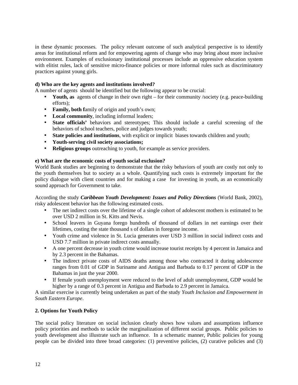in these dynamic processes. The policy relevant outcome of such analytical perspective is to identify areas for institutional reform and for empowering agents of change who may bring about more inclusive environment. Examples of exclusionary institutional processes include an oppressive education system with elitist rules, lack of sensitive micro-finance policies or more informal rules such as discriminatory practices against young girls.

#### **d) Who are the key agents and institutions involved?**

A number of agents should be identified but the following appear to be crucial:

- **Youth, as** agents of change in their own right for their community /society (e.g. peace-building efforts);
- **Family, both f**amily of origin and youth's own;
- **Local community**, including informal leaders;
- **State officials'** behaviors and stereotypes; This should include a careful screening of the behaviors of school teachers, police and judges towards youth;
- **State policies and institutions**, with explicit or implicit biases towards children and youth;
- **Youth-serving civil society associations;**
- **Religious groups** outreaching to youth, for example as service providers.

#### **e) What are the economic costs of youth social exclusion?**

World Bank studies are beginning to demonstrate that the risky behaviors of youth are costly not only to the youth themselves but to society as a whole. Quantifying such costs is extremely important for the policy dialogue with client countries and for making a case for investing in youth, as an economically sound approach for Government to take.

According the study *Caribbean Youth Development: Issues and Policy Directions* (World Bank, 2002), risky adolescent behavior has the following estimated costs.

- The net indirect costs over the lifetime of a single cohort of adolescent mothers is estimated to be over USD 2 million in St. Kitts and Nevis.
- School leavers in Guyana forego hundreds of thousand of dollars in net earnings over their lifetimes, costing the state thousand s of dollars in foregone income.
- Youth crime and violence in St. Lucia generates over USD 3 million in social indirect costs and USD 7.7 million in private indirect costs annually.
- A one percent decrease in youth crime would increase tourist receipts by 4 percent in Jamaica and by 2.3 percent in the Bahamas.
- The indirect private costs of AIDS deaths among those who contracted it during adolescence ranges from 0.01 of GDP in Suriname and Antigua and Barbuda to 0.17 percent of GDP in the Bahamas in just the year 2000.
- If female youth unemployment were reduced to the level of adult unemployment, GDP would be higher by a range of 0.3 percent in Antigua and Barbuda to 2.9 percent in Jamaica.

A similar exercise is currently being undertaken as part of the study *Youth Inclusion and Empowerment in South Eastern Europe*.

#### **2. Options for Youth Policy**

The social policy literature on social inclusion clearly shows how values and assumptions influence policy priorities and methods to tackle the marginalization of different social groups. Public policies to youth development also illustrate such an influence. In a schematic manner, Public policies for young people can be divided into three broad categories: (1) preventive policies, (2) curative policies and (3)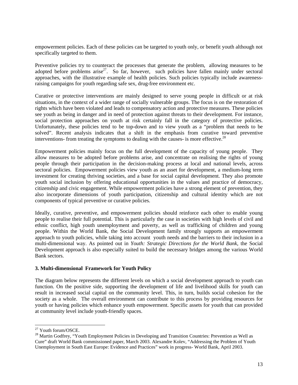empowerment policies. Each of these policies can be targeted to youth only, or benefit youth although not specifically targeted to them.

Preventive policies try to counteract the processes that generate the problem, allowing measures to be adopted before problems arise<sup>27</sup>. So far, however, such policies have fallen mainly under sectoral approaches, with the illustrative example of health policies. Such policies typically include awarenessraising campaigns for youth regarding safe sex, drug-free environment etc.

Curative or protective interventions are mainly designed to serve young people in difficult or at risk situations, in the context of a wider range of socially vulnerable groups. The focus is on the restoration of rights which have been violated and leads to compensatory action and protective measures. These policies see youth as being in danger and in need of protection against threats to their development. For instance, social protection approaches on youth at risk certainly fall in the category of protective policies. Unfortunately, these policies tend to be top-down and to view youth as a "problem that needs to be solved". Recent analysis indicates that a shift in the emphasis from curative toward preventive interventions- from treating the symptoms to dealing with the causes- is more effective.<sup>28</sup>

Empowerment policies mainly focus on the full development of the capacity of young people. They allow measures to be adopted before problems arise, and concentrate on realising the rights of young people through their participation in the decision-making process at local and national levels, across sectoral policies. Empowerment policies view youth as an asset for development, a medium-long term investment for creating thriving societies, and a base for social capital development. They also promote youth social inclusion by offering educational opportunities in the values and practice of democracy, citizenship and civic engagement. While empowerment policies have a strong element of prevention, they also incorporate dimensions of youth participation, citizenship and cultural identity which are not components of typical preventive or curative policies.

Ideally, curative, preventive, and empowerment policies should reinforce each other to enable young people to realise their full potential. This is particularly the case in societies with high levels of civil and ethnic conflict, high youth unemployment and poverty, as well as trafficking of children and young people. Within the World Bank, the Social Development family strongly supports an empowerment approach to youth policies, while taking into account youth needs and the barriers to their inclusion in a multi-dimensional way. As pointed out in *Youth: Strategic Directions for the World Bank*, the Social Development approach is also especially suited to build the necessary bridges among the various World Bank sectors.

#### **3. Multi-dimensional Framework for Youth Policy**

The diagram below represents the different levels on which a social development approach to youth can function. On the positive side, supporting the development of life and livelihood skills for youth can result in increased social capital on the community level. This, in turn, builds social cohesion for the society as a whole. The overall environment can contribute to this process by providing resources for youth or having policies which enhance youth empowerment. Specific assets for youth that can provided at community level include youth-friendly spaces.

<sup>&</sup>lt;sup>27</sup> Youth forum/OSCE.

<sup>&</sup>lt;sup>28</sup> Martin Godfrey, "Youth Employment Policies in Developing and Transition Countries: Prevention as Well as Cure" draft World Bank commissioned paper, March 2003. Alexandre Kolev, "Addressing the Problem of Youth Unemployment in South East Europe: Evidence and Practices" work in progress- World Bank, April 2003.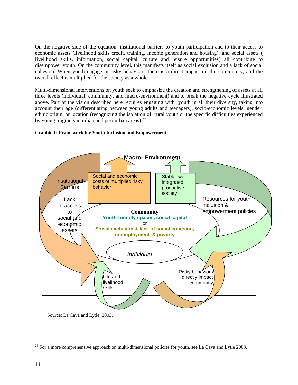On the negative side of the equation, institutional barriers to youth participation and to their access to economic assets (livelihood skills credit, training, income generation and housing), and social assets ( livelihood skills, information, social capital, culture and leisure opportunities) all contribute to disempower youth. On the community level, this manifests itself as social exclusion and a lack of social cohesion. When youth engage in risky behaviors, there is a direct impact on the community, and the overall effect is multiplied for the society as a whole.

Multi-dimensional interventions on youth seek to emphasize the creation and strengthening of assets at all three levels (individual, community, and macro-environment) and to break the negative cycle illustrated above. Part of the vision described here requires engaging with youth in all their diversity, taking into account their age (differentiating between young adults and teenagers), socio-economic levels, gender, ethnic origin, or location (recognizing the isolation of rural youth or the specific difficulties experienced by young migrants in urban and peri-urban areas). $^{29}$ 



#### **Graphic 1: Framework for Youth Inclusion and Empowerment**

Source: La Cava and Lytle, 2003.

 $29$  For a more comprehensive approach on multi-dimensional policies for youth, see La Cava and Lytle 2003.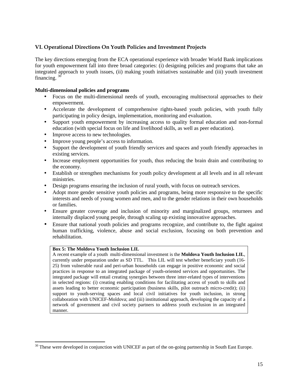#### **VI. Operational Directions On Youth Policies and Investment Projects**

The key directions emerging from the ECA operational experience with broader World Bank implications for youth empowerment fall into three broad categories: (i) designing policies and programs that take an integrated approach to youth issues, (ii) making youth initiatives sustainable and (iii) youth investment financing.  $3^{\circ}$ 

#### **Multi-dimensional policies and programs**

- Focus on the multi-dimensional needs of youth, encouraging multisectoral approaches to their empowerment.
- Accelerate the development of comprehensive rights-based youth policies, with youth fully participating in policy design, implementation, monitoring and evaluation.
- Support youth empowerment by increasing access to quality formal education and non-formal education (with special focus on life and livelihood skills, as well as peer education).
- Improve access to new technologies.
- Improve young people's access to information.
- Support the development of youth friendly services and spaces and youth friendly approaches in existing services.
- Increase employment opportunities for youth, thus reducing the brain drain and contributing to the economy.
- Establish or strengthen mechanisms for youth policy development at all levels and in all relevant ministries.
- Design programs ensuring the inclusion of rural youth, with focus on outreach services.
- Adopt more gender sensitive youth policies and programs, being more responsive to the specific interests and needs of young women and men, and to the gender relations in their own households or families.
- Ensure greater coverage and inclusion of minority and marginalized groups, returnees and internally displaced young people, through scaling up existing innovative approaches.
- Ensure that national youth policies and programs recognize, and contribute to, the fight against human trafficking, violence, abuse and social exclusion, focusing on both prevention and rehabilitation.

#### **Box 5: The Moldova Youth Inclusion LIL**

l

A recent example of a youth multi-dimensional investment is the **Moldova Youth Inclusion LIL**, currently under preparation under as SD TTL. This LIL will test whether beneficiary youth (16- 25) from vulnerable rural and peri-urban households can engage in positive economic and social practices in response to an integrated package of youth-oriented services and opportunities. The integrated package will entail creating synergies between three inter-related types of interventions in selected regions: (i) creating enabling conditions for facilitating access of youth to skills and assets leading to better economic participation (business skills, pilot outreach micro-credit); (ii) support to youth-serving spaces and local civil initiatives for youth inclusion, in strong collaboration with UNICEF-Moldova; and (iii) institutional approach, developing the capacity of a network of government and civil society partners to address youth exclusion in an integrated manner.

 $30$  These were developed in conjunction with UNICEF as part of the on-going partnership in South East Europe.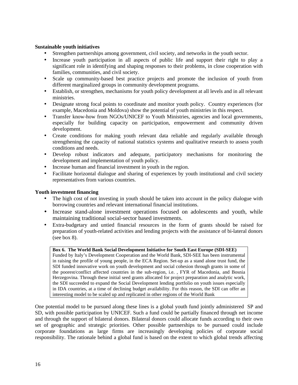#### **Sustainable youth initiatives**

- Strengthen partnerships among government, civil society, and networks in the youth sector.
- Increase youth participation in all aspects of public life and support their right to play a significant role in identifying and shaping responses to their problems, in close cooperation with families, communities, and civil society.
- Scale up community-based best practice projects and promote the inclusion of youth from different marginalized groups in community development programs.
- Establish, or strengthen, mechanisms for youth policy development at all levels and in all relevant ministries.
- Designate strong focal points to coordinate and monitor youth policy. Country experiences (for example, Macedonia and Moldova) show the potential of youth ministries in this respect.
- Transfer know-how from NGOs/UNICEF to Youth Ministries, agencies and local governments, especially for building capacity on participation, empowerment and community driven development.
- Create conditions for making youth relevant data reliable and regularly available through strengthening the capacity of national statistics systems and qualitative research to assess youth conditions and needs.
- Develop robust indicators and adequate, participatory mechanisms for monitoring the development and implementation of youth policy.
- Increase human and financial investment in youth in the region.
- Facilitate horizontal dialogue and sharing of experiences by youth institutional and civil society representatives from various countries.

#### **Youth investment financing**

- The high cost of not investing in youth should be taken into account in the policy dialogue with borrowing countries and relevant international financial institutions.
- Increase stand-alone investment operations focused on adolescents and youth, while maintaining traditional social-sector based investments.
- Extra-budgetary and untied financial resources in the form of grants should be raised for preparation of youth-related activities and lending projects with the assistance of bi-lateral donors (see box 8).

#### **Box 6. The World Bank Social Development Initiative for South East Europe (SDI-SEE)**

Funded by Italy's Development Cooperation and the World Bank, SDI-SEE has been instrumental in raising the profile of young people, in the ECA Region. Set-up as a stand alone trust fund, the SDI funded innovative work on youth development and social cohesion through grants in some of the poorest/conflict affected countries in the sub-region, i.e. , FYR of Macedonia, and Bosnia Herzegovina. Through these initial seed grants allocated for project preparation and analytic work, the SDI succeeded to expand the Social Development lending portfolio on youth issues especially in IDA countries, at a time of declining budget availability. For this reason, the SDI can offer an interesting model to be scaled up and replicated in other regions of the World Bank

One potential model to be pursued along these lines is a global youth fund jointly administered SP and SD, with possible participation by UNICEF. Such a fund could be partially financed through net income and through the support of bilateral donors. Bilateral donors could allocate funds according to their own set of geographic and strategic priorities. Other possible partnerships to be pursued could include corporate foundations as large firms are increasingly developing policies of corporate social responsibility. The rationale behind a global fund is based on the extent to which global trends affecting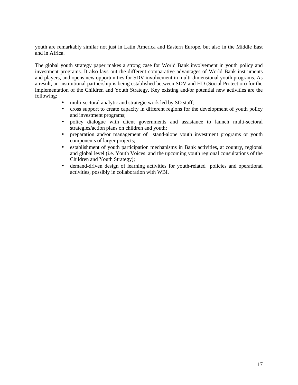youth are remarkably similar not just in Latin America and Eastern Europe, but also in the Middle East and in Africa.

The global youth strategy paper makes a strong case for World Bank involvement in youth policy and investment programs. It also lays out the different comparative advantages of World Bank instruments and players, and opens new opportunities for SDV involvement in multi-dimensional youth programs. As a result, an institutional partnership is being established between SDV and HD (Social Protection) for the implementation of the Children and Youth Strategy. Key existing and/or potential new activities are the following:

- multi-sectoral analytic and strategic work led by SD staff;
- cross support to create capacity in different regions for the development of youth policy and investment programs;
- policy dialogue with client governments and assistance to launch multi-sectoral strategies/action plans on children and youth;
- preparation and/or management of stand-alone youth investment programs or youth components of larger projects;
- establishment of youth participation mechanisms in Bank activities, at country, regional and global level (i.e. Youth Voices and the upcoming youth regional consultations of the Children and Youth Strategy);
- demand-driven design of learning activities for youth-related policies and operational activities, possibly in collaboration with WBI.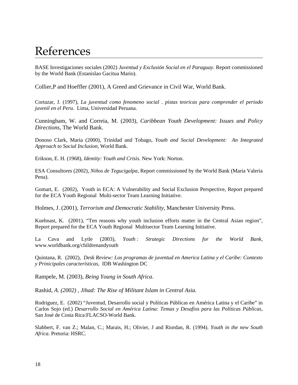### References

BASE Investigaciones sociales (2002) *Juventud y Exclusión Social en el Paraguay*. Report commissioned by the World Bank (Estanislao Gacitua Mario).

Collier,P and Hoeffler (2001), A Greed and Grievance in Civil War, World Bank.

Cortazar, J. (1997), *La juventud como fenomeno social . pistas teoricas para comprender el periodo juvenil en el Peru*. Lima, Universidad Peruana.

Cunningham, W. and Correia, M. (2003), *Caribbean Youth Development: Issues and Policy Directions*, The World Bank.

Donoso Clark, Maria (2000), Trinidad and Tobago, *Youth and Social Development: An Integrated Approach to Social Inclusion*, World Bank.

Erikson, E. H. (1968), *Identity: Youth and Crisis.* New York: Norton.

ESA Consultores (2002)*, Niños de Tegucigalpa*, Report commissioned by the World Bank (Maria Valeria Pena).

Gomart, E. (2002), Youth in ECA: A Vulnerability and Social Exclusion Perspective, Report prepared for the ECA Youth Regional Multi-sector Team Learning Initiative.

Holmes, J. (2001), *Terrorism and Democratic Stability*, Manchester University Press.

Kuehnast, K. (2001), "Ten reasons why youth inclusion efforts matter in the Central Asian region", Report prepared for the ECA Youth Regional Multisector Team Learning Initiative.

La Cava and Lytle (2003), *Youth : Strategic Directions for the World Bank*, www.worldbank.org/childrenandyouth

Quintana, R. (2002), *Desk Review: Los programas de juventud en America Latina y el Caribe: Contexto y Prinicipales características,* IDB Washington DC

Rampele, M. (2003), *Being Young in South Africa*.

Rashid, *A. (2002) , Jihad: The Rise of Militant Islam in Central Asia.*

Rodriguez, E. (2002) "Juventud, Desarrollo social y Políticas Públicas en América Latina y el Caribe" in Carlos Sojo (ed.) *Desarrollo Social en América Latina: Temas y Desafíos para las Políticas Públicas,* San José de Costa Rica:FLACSO-World Bank.

Slabbert, F. van Z.; Malan, C.; Marais, H.; Olivier, J and Riordan, R. (1994). *Youth in the new South Africa.* Pretoria: HSRC.